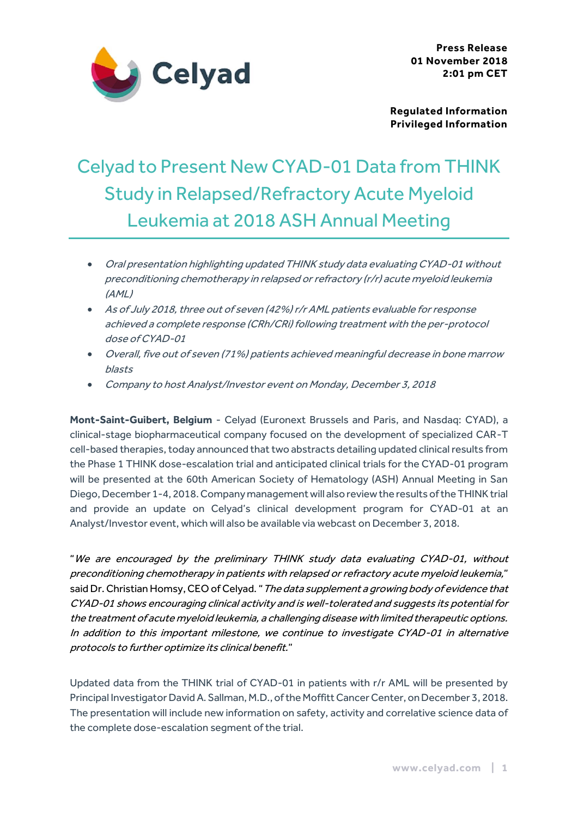

**Regulated Information Privileged Information**

# Celyad to Present New CYAD-01 Data from THINK Study in Relapsed/Refractory Acute Myeloid Leukemia at 2018 ASH Annual Meeting

- Oral presentation highlighting updated THINK study data evaluating CYAD-01 without preconditioning chemotherapy in relapsed or refractory (r/r) acute myeloid leukemia (AML)
- As of July 2018, three out of seven (42%) r/r AML patients evaluable for response achieved a complete response (CRh/CRi) following treatment with the per-protocol dose of CYAD-01
- Overall, five out of seven (71%) patients achieved meaningful decrease in bone marrow blasts
- Company to host Analyst/Investor event on Monday, December 3, 2018

**Mont-Saint-Guibert, Belgium** - Celyad (Euronext Brussels and Paris, and Nasdaq: CYAD), a clinical-stage biopharmaceutical company focused on the development of specialized CAR-T cell-based therapies, today announced that two abstracts detailing updated clinical results from the Phase 1 THINK dose-escalation trial and anticipated clinical trials for the CYAD-01 program will be presented at the 60th American Society of Hematology (ASH) Annual Meeting in San Diego, December 1-4, 2018. Company managementwill also review the results of the THINK trial and provide an update on Celyad's clinical development program for CYAD-01 at an Analyst/Investor event, which will also be available via webcast on December 3, 2018.

"We are encouraged by the preliminary THINK study data evaluating CYAD-01, without preconditioning chemotherapy in patients with relapsed or refractory acute myeloid leukemia," said Dr. Christian Homsy, CEO of Celyad. " The data supplement a growing body of evidence that CYAD-01 shows encouraging clinical activity and is well-tolerated and suggests its potential for the treatment of acute myeloid leukemia, a challenging disease with limited therapeutic options. In addition to this important milestone, we continue to investigate CYAD-01 in alternative protocols to further optimize its clinical benefit."

Updated data from the THINK trial of CYAD-01 in patients with r/r AML will be presented by Principal Investigator David A. Sallman, M.D., of the Moffitt Cancer Center, on December 3, 2018. The presentation will include new information on safety, activity and correlative science data of the complete dose-escalation segment of the trial.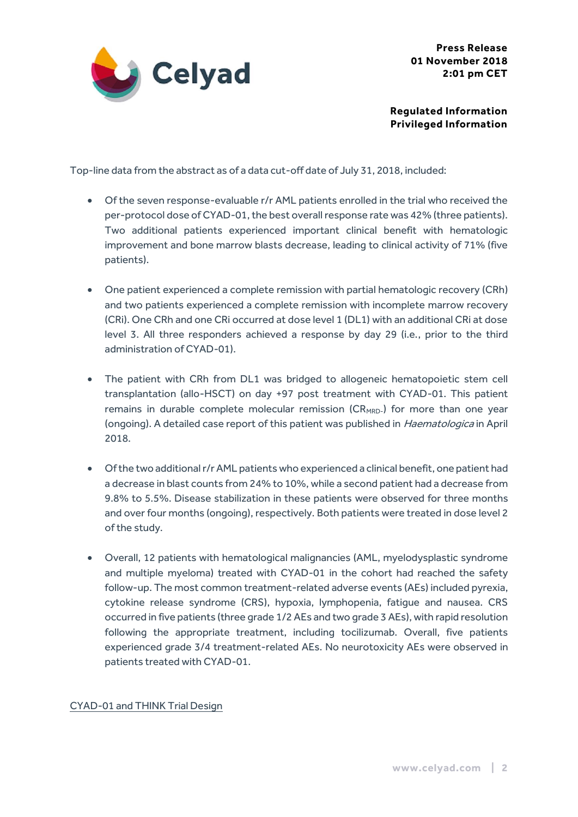

**Regulated Information Privileged Information**

Top-line data from the abstract as of a data cut-off date of July 31, 2018, included:

- Of the seven response-evaluable r/r AML patients enrolled in the trial who received the per-protocol dose of CYAD-01, the best overall response rate was 42% (three patients). Two additional patients experienced important clinical benefit with hematologic improvement and bone marrow blasts decrease, leading to clinical activity of 71% (five patients).
- One patient experienced a complete remission with partial hematologic recovery (CRh) and two patients experienced a complete remission with incomplete marrow recovery (CRi). One CRh and one CRi occurred at dose level 1 (DL1) with an additional CRi at dose level 3. All three responders achieved a response by day 29 (i.e., prior to the third administration of CYAD-01).
- The patient with CRh from DL1 was bridged to allogeneic hematopoietic stem cell transplantation (allo-HSCT) on day +97 post treatment with CYAD-01. This patient remains in durable complete molecular remission ( $CR<sub>MRD</sub>$ ) for more than one year (ongoing). A detailed case report of this patient was published in *Haematologica* in April 2018.
- Of the two additional r/r AML patients who experienced a clinical benefit, one patient had a decrease in blast counts from 24% to 10%, while a second patient had a decrease from 9.8% to 5.5%. Disease stabilization in these patients were observed for three months and over four months (ongoing), respectively. Both patients were treated in dose level 2 of the study.
- Overall, 12 patients with hematological malignancies (AML, myelodysplastic syndrome and multiple myeloma) treated with CYAD-01 in the cohort had reached the safety follow-up. The most common treatment-related adverse events (AEs) included pyrexia, cytokine release syndrome (CRS), hypoxia, lymphopenia, fatigue and nausea. CRS occurred in five patients (three grade 1/2 AEs and two grade 3 AEs), with rapid resolution following the appropriate treatment, including tocilizumab. Overall, five patients experienced grade 3/4 treatment-related AEs. No neurotoxicity AEs were observed in patients treated with CYAD-01.

## CYAD-01 and THINK Trial Design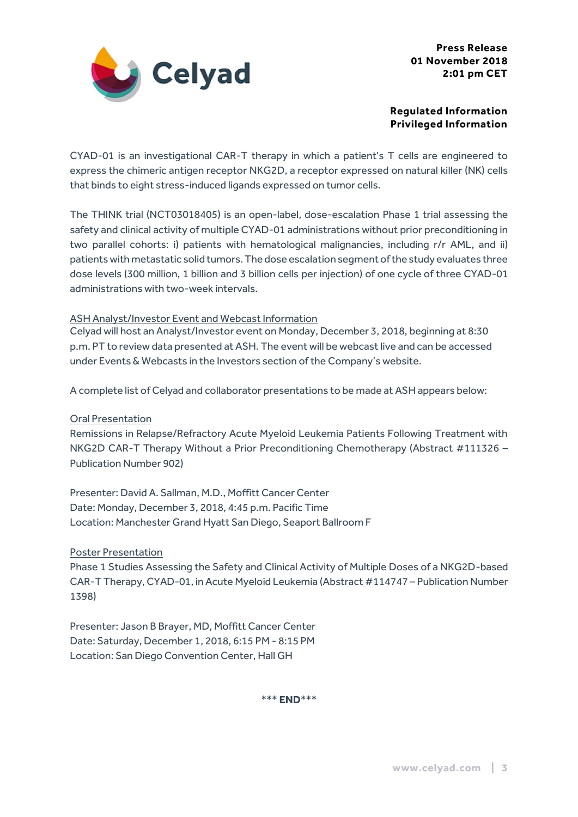

## **Regulated Information Privileged Information**

CYAD-01 is an investigational CAR-T therapy in which a patient's T cells are engineered to express the chimeric antigen receptor NKG2D, a receptor expressed on natural killer (NK) cells that binds to eight stress-induced ligands expressed on tumor cells.

The THINK trial (NCT03018405) is an open-label, dose-escalation Phase 1 trial assessing the safety and clinical activity of multiple CYAD-01 administrations without prior preconditioning in two parallel cohorts: i) patients with hematological malignancies, including r/r AML, and ii) patients with metastatic solid tumors. The dose escalation segment of the study evaluates three dose levels (300 million, 1 billion and 3 billion cells per injection) of one cycle of three CYAD-01 administrations with two-week intervals.

## ASH Analyst/Investor Event and Webcast Information

Celyad will host an Analyst/Investor event on Monday, December 3, 2018, beginning at 8:30 p.m. PT to review data presented at ASH. The event will be webcast live and can be accessed under Events & Webcasts in the Investors section of the Company's website.

A complete list of Celyad and collaborator presentations to be made at ASH appears below:

Oral Presentation

Remissions in Relapse/Refractory Acute Myeloid Leukemia Patients Following Treatment with NKG2D CAR-T Therapy Without a Prior Preconditioning Chemotherapy (Abstract #111326 – Publication Number 902)

Presenter: David A. Sallman, M.D., Moffitt Cancer Center Date: Monday, December 3, 2018, 4:45 p.m. Pacific Time Location: Manchester Grand Hyatt San Diego, Seaport Ballroom F

Poster Presentation

Phase 1 Studies Assessing the Safety and Clinical Activity of Multiple Doses of a NKG2D-based CAR-T Therapy, CYAD-01, in Acute Myeloid Leukemia (Abstract #114747 – Publication Number 1398)

Presenter: Jason B Brayer, MD, Moffitt Cancer Center Date: Saturday, December 1, 2018, 6:15 PM - 8:15 PM Location: San Diego Convention Center, Hall GH

\*\*\* **END**\*\*\*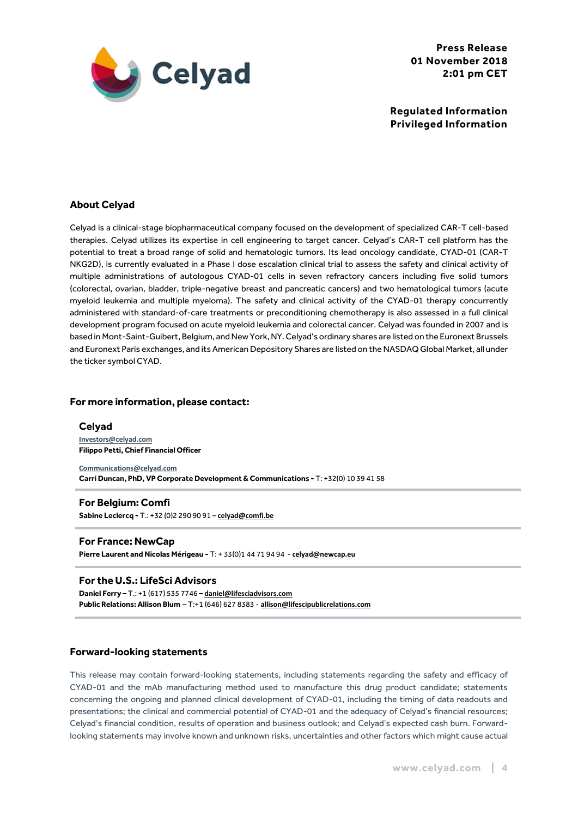

**Regulated Information Privileged Information**

### **About Celyad**

Celyad is a clinical-stage biopharmaceutical company focused on the development of specialized CAR-T cell-based therapies. Celyad utilizes its expertise in cell engineering to target cancer. Celyad's CAR-T cell platform has the potential to treat a broad range of solid and hematologic tumors. Its lead oncology candidate, CYAD-01 (CAR-T NKG2D), is currently evaluated in a Phase I dose escalation clinical trial to assess the safety and clinical activity of multiple administrations of autologous CYAD-01 cells in seven refractory cancers including five solid tumors (colorectal, ovarian, bladder, triple-negative breast and pancreatic cancers) and two hematological tumors (acute myeloid leukemia and multiple myeloma). The safety and clinical activity of the CYAD-01 therapy concurrently administered with standard-of-care treatments or preconditioning chemotherapy is also assessed in a full clinical development program focused on acute myeloid leukemia and colorectal cancer. Celyad was founded in 2007 and is based in Mont-Saint-Guibert, Belgium, and New York, NY.Celyad's ordinary shares are listed on the Euronext Brussels and Euronext Paris exchanges, and its American Depository Shares are listed on the NASDAQGlobal Market, all under the ticker symbol CYAD.

#### **For more information, please contact:**

#### **Celyad [Investors@celyad.com](mailto:Investors@celyad.com) Filippo Petti, Chief Financial Officer**

**<Communications@celyad.com> Carri Duncan, PhD, VP Corporate Development & Communications -** T: +32(0) 10 39 41 58

#### **For Belgium: Comfi Sabine Leclercq -** T.: +32 (0)2 290 90 91 – **celyad@comfi.be**

# **For France: NewCap**

**Pierre Laurent and Nicolas Mérigeau -** T: + 33(0)1 44 71 94 94 - **[celyad@newcap.eu](mailto:celyad@newcap.eu)**

#### **For the U.S.: LifeSci Advisors**

**Daniel Ferry –** T.: +1 (617) 535 7746 **– [daniel@lifesciadvisors.com](mailto:daniel@lifesciadvisors.com) Public Relations: Allison Blum** – T:+1 (646) 627 8383 **- allison@lifescipublicrelations.com**

#### **Forward-looking statements**

This release may contain forward-looking statements, including statements regarding the safety and efficacy of CYAD-01 and the mAb manufacturing method used to manufacture this drug product candidate; statements concerning the ongoing and planned clinical development of CYAD-01, including the timing of data readouts and presentations; the clinical and commercial potential of CYAD-01 and the adequacy of Celyad's financial resources; Celyad's financial condition, results of operation and business outlook; and Celyad's expected cash burn. Forwardlooking statements may involve known and unknown risks, uncertainties and other factors which might cause actual